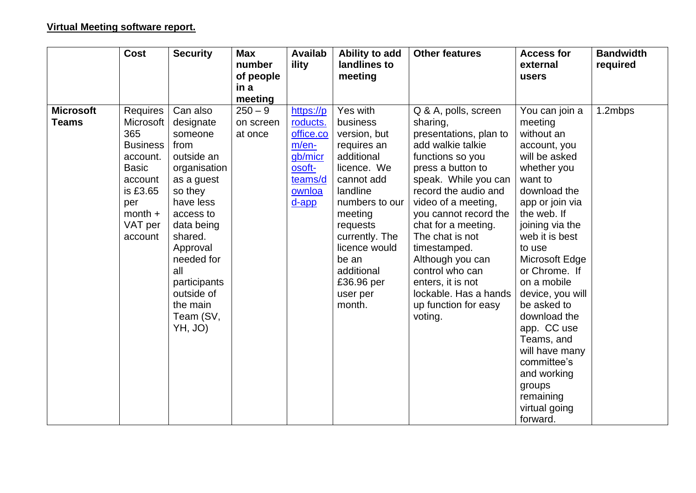| <b>Security</b>                                                                                                                                                                                                                                       | <b>Max</b><br>number                         | <b>Availab</b><br>ility                                                                             | Ability to add<br>landlines to                                                                                                                                                                                                                    | <b>Other features</b>                                                                                                                                                                                                                                                                                                                                                                                      | <b>Access for</b><br>external                                                                                                                                                                                                                                                                                                                                                                                | <b>Bandwidth</b><br>required |
|-------------------------------------------------------------------------------------------------------------------------------------------------------------------------------------------------------------------------------------------------------|----------------------------------------------|-----------------------------------------------------------------------------------------------------|---------------------------------------------------------------------------------------------------------------------------------------------------------------------------------------------------------------------------------------------------|------------------------------------------------------------------------------------------------------------------------------------------------------------------------------------------------------------------------------------------------------------------------------------------------------------------------------------------------------------------------------------------------------------|--------------------------------------------------------------------------------------------------------------------------------------------------------------------------------------------------------------------------------------------------------------------------------------------------------------------------------------------------------------------------------------------------------------|------------------------------|
|                                                                                                                                                                                                                                                       |                                              |                                                                                                     |                                                                                                                                                                                                                                                   |                                                                                                                                                                                                                                                                                                                                                                                                            | users                                                                                                                                                                                                                                                                                                                                                                                                        |                              |
|                                                                                                                                                                                                                                                       |                                              |                                                                                                     |                                                                                                                                                                                                                                                   |                                                                                                                                                                                                                                                                                                                                                                                                            |                                                                                                                                                                                                                                                                                                                                                                                                              |                              |
| Can also<br>designate<br>someone<br>from<br>outside an<br>organisation<br>as a guest<br>so they<br>have less<br>access to<br>data being<br>shared.<br>Approval<br>needed for<br>all<br>participants<br>outside of<br>the main<br>Team (SV,<br>YH, JO) | meeting<br>$250 - 9$<br>on screen<br>at once | https://p<br>roducts.<br>office.co<br>$m/en-$<br>gb/micr<br>osoft-<br>teams/d<br>ownloa<br>$d$ -app | Yes with<br>business<br>version, but<br>requires an<br>additional<br>licence. We<br>cannot add<br>landline<br>numbers to our<br>meeting<br>requests<br>currently. The<br>licence would<br>be an<br>additional<br>£36.96 per<br>user per<br>month. | Q & A, polls, screen<br>sharing,<br>presentations, plan to<br>add walkie talkie<br>functions so you<br>press a button to<br>speak. While you can<br>record the audio and<br>video of a meeting,<br>you cannot record the<br>chat for a meeting.<br>The chat is not<br>timestamped.<br>Although you can<br>control who can<br>enters, it is not<br>lockable. Has a hands<br>up function for easy<br>voting. | You can join a<br>meeting<br>without an<br>account, you<br>will be asked<br>whether you<br>want to<br>download the<br>app or join via<br>the web. If<br>joining via the<br>web it is best<br>to use<br>Microsoft Edge<br>or Chrome. If<br>on a mobile<br>device, you will<br>be asked to<br>download the<br>app. CC use<br>Teams, and<br>will have many<br>committee's<br>and working<br>groups<br>remaining | 1.2mbps                      |
| <b>Business</b>                                                                                                                                                                                                                                       | Requires<br>Microsoft                        | of people<br>in a                                                                                   |                                                                                                                                                                                                                                                   | meeting                                                                                                                                                                                                                                                                                                                                                                                                    |                                                                                                                                                                                                                                                                                                                                                                                                              | virtual going<br>forward.    |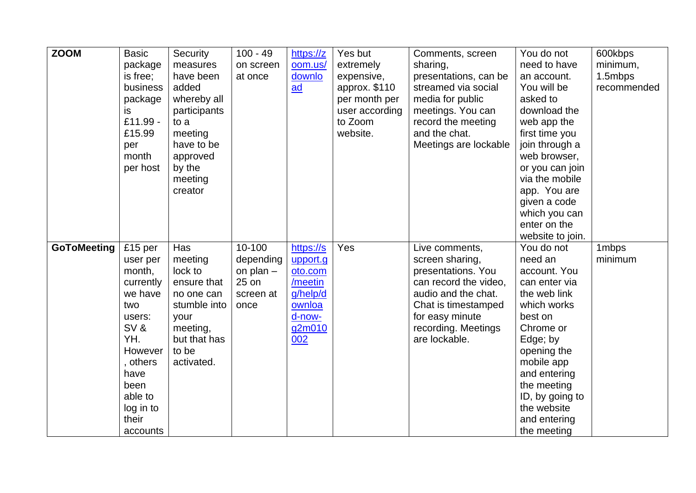| <b>ZOOM</b>        | <b>Basic</b><br>package<br>is free;<br>business<br>package<br>is<br>£11.99 -<br>£15.99<br>per<br>month<br>per host                                                       | Security<br>measures<br>have been<br>added<br>whereby all<br>participants<br>to a<br>meeting<br>have to be<br>approved<br>by the<br>meeting<br>creator | $100 - 49$<br>on screen<br>at once                               | https://z<br>oom.us/<br>downlo<br>ad                                                         | Yes but<br>extremely<br>expensive,<br>approx. \$110<br>per month per<br>user according<br>to Zoom<br>website. | Comments, screen<br>sharing,<br>presentations, can be<br>streamed via social<br>media for public<br>meetings. You can<br>record the meeting<br>and the chat.<br>Meetings are lockable     | You do not<br>need to have<br>an account.<br>You will be<br>asked to<br>download the<br>web app the<br>first time you<br>join through a<br>web browser,<br>or you can join<br>via the mobile<br>app. You are<br>given a code<br>which you can<br>enter on the<br>website to join. | 600kbps<br>minimum,<br>1.5mbps<br>recommended |
|--------------------|--------------------------------------------------------------------------------------------------------------------------------------------------------------------------|--------------------------------------------------------------------------------------------------------------------------------------------------------|------------------------------------------------------------------|----------------------------------------------------------------------------------------------|---------------------------------------------------------------------------------------------------------------|-------------------------------------------------------------------------------------------------------------------------------------------------------------------------------------------|-----------------------------------------------------------------------------------------------------------------------------------------------------------------------------------------------------------------------------------------------------------------------------------|-----------------------------------------------|
| <b>GoToMeeting</b> | £15 per<br>user per<br>month,<br>currently<br>we have<br>two<br>users:<br>SV&<br>YH.<br>However<br>, others<br>have<br>been<br>able to<br>log in to<br>their<br>accounts | Has<br>meeting<br>lock to<br>ensure that<br>no one can<br>stumble into<br>your<br>meeting,<br>but that has<br>to be<br>activated.                      | 10-100<br>depending<br>on plan $-$<br>25 on<br>screen at<br>once | https://s<br>upport.g<br>oto.com<br>/meetin<br>g/help/d<br>ownloa<br>d-now-<br>g2m010<br>002 | Yes                                                                                                           | Live comments,<br>screen sharing,<br>presentations. You<br>can record the video,<br>audio and the chat.<br>Chat is timestamped<br>for easy minute<br>recording. Meetings<br>are lockable. | You do not<br>need an<br>account. You<br>can enter via<br>the web link<br>which works<br>best on<br>Chrome or<br>Edge; by<br>opening the<br>mobile app<br>and entering<br>the meeting<br>ID, by going to<br>the website<br>and entering<br>the meeting                            | 1mbps<br>minimum                              |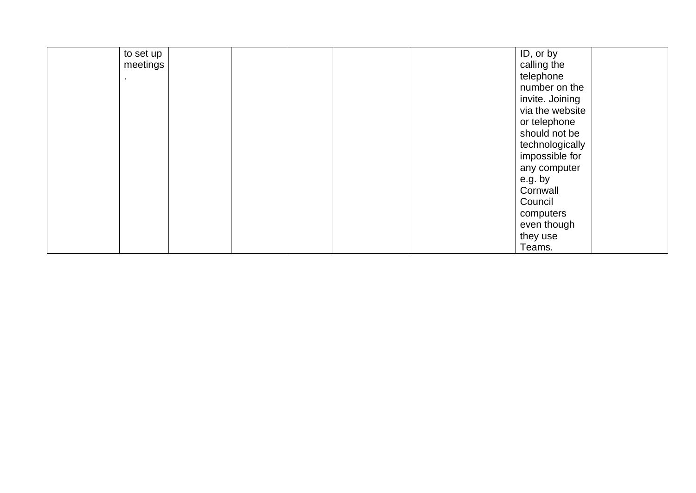| to set up |  | ID, or by       |
|-----------|--|-----------------|
| meetings  |  | calling the     |
|           |  | telephone       |
|           |  | number on the   |
|           |  | invite. Joining |
|           |  | via the website |
|           |  | or telephone    |
|           |  | should not be   |
|           |  | technologically |
|           |  | impossible for  |
|           |  | any computer    |
|           |  | e.g. by         |
|           |  | Cornwall        |
|           |  | Council         |
|           |  | computers       |
|           |  | even though     |
|           |  | they use        |
|           |  | Teams.          |